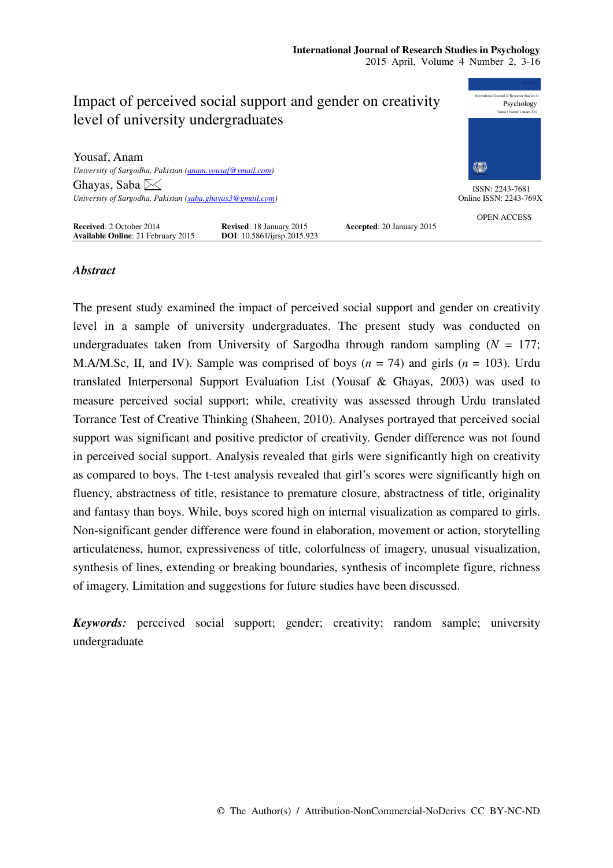

# *Abstract*

The present study examined the impact of perceived social support and gender on creativity level in a sample of university undergraduates. The present study was conducted on undergraduates taken from University of Sargodha through random sampling  $(N = 177)$ ; M.A/M.Sc, II, and IV). Sample was comprised of boys  $(n = 74)$  and girls  $(n = 103)$ . Urdu translated Interpersonal Support Evaluation List (Yousaf & Ghayas, 2003) was used to measure perceived social support; while, creativity was assessed through Urdu translated Torrance Test of Creative Thinking (Shaheen, 2010). Analyses portrayed that perceived social support was significant and positive predictor of creativity. Gender difference was not found in perceived social support. Analysis revealed that girls were significantly high on creativity as compared to boys. The t-test analysis revealed that girl's scores were significantly high on fluency, abstractness of title, resistance to premature closure, abstractness of title, originality and fantasy than boys. While, boys scored high on internal visualization as compared to girls. Non-significant gender difference were found in elaboration, movement or action, storytelling articulateness, humor, expressiveness of title, colorfulness of imagery, unusual visualization, synthesis of lines, extending or breaking boundaries, synthesis of incomplete figure, richness of imagery. Limitation and suggestions for future studies have been discussed.

*Keywords:* perceived social support; gender; creativity; random sample; university undergraduate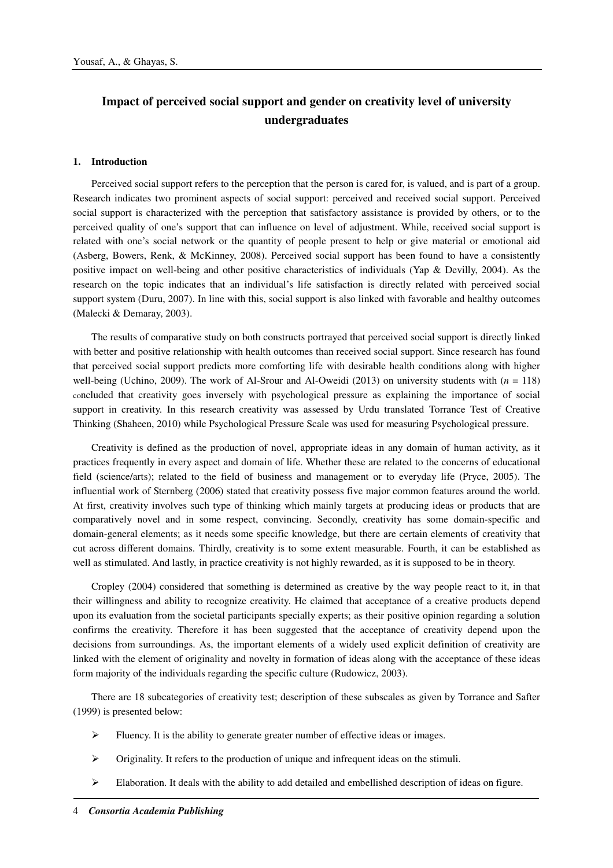# **Impact of perceived social support and gender on creativity level of university undergraduates**

## **1. Introduction**

Perceived social support refers to the perception that the person is cared for, is valued, and is part of a group. Research indicates two prominent aspects of social support: perceived and received social support. Perceived social support is characterized with the perception that satisfactory assistance is provided by others, or to the perceived quality of one's support that can influence on level of adjustment. While, received social support is related with one's social network or the quantity of people present to help or give material or emotional aid (Asberg, Bowers, Renk, & McKinney, 2008). Perceived social support has been found to have a consistently positive impact on well-being and other positive characteristics of individuals (Yap & Devilly, 2004). As the research on the topic indicates that an individual's life satisfaction is directly related with perceived social support system (Duru, 2007). In line with this, social support is also linked with favorable and healthy outcomes (Malecki & Demaray, 2003).

The results of comparative study on both constructs portrayed that perceived social support is directly linked with better and positive relationship with health outcomes than received social support. Since research has found that perceived social support predicts more comforting life with desirable health conditions along with higher well-being (Uchino, 2009). The work of Al-Srour and Al-Oweidi (2013) on university students with  $(n = 118)$ concluded that creativity goes inversely with psychological pressure as explaining the importance of social support in creativity. In this research creativity was assessed by Urdu translated Torrance Test of Creative Thinking (Shaheen, 2010) while Psychological Pressure Scale was used for measuring Psychological pressure.

Creativity is defined as the production of novel, appropriate ideas in any domain of human activity, as it practices frequently in every aspect and domain of life. Whether these are related to the concerns of educational field (science/arts); related to the field of business and management or to everyday life (Pryce, 2005). The influential work of Sternberg (2006) stated that creativity possess five major common features around the world. At first, creativity involves such type of thinking which mainly targets at producing ideas or products that are comparatively novel and in some respect, convincing. Secondly, creativity has some domain-specific and domain-general elements; as it needs some specific knowledge, but there are certain elements of creativity that cut across different domains. Thirdly, creativity is to some extent measurable. Fourth, it can be established as well as stimulated. And lastly, in practice creativity is not highly rewarded, as it is supposed to be in theory.

Cropley (2004) considered that something is determined as creative by the way people react to it, in that their willingness and ability to recognize creativity. He claimed that acceptance of a creative products depend upon its evaluation from the societal participants specially experts; as their positive opinion regarding a solution confirms the creativity. Therefore it has been suggested that the acceptance of creativity depend upon the decisions from surroundings. As, the important elements of a widely used explicit definition of creativity are linked with the element of originality and novelty in formation of ideas along with the acceptance of these ideas form majority of the individuals regarding the specific culture (Rudowicz, 2003).

There are 18 subcategories of creativity test; description of these subscales as given by Torrance and Safter (1999) is presented below:

- $\triangleright$  Fluency. It is the ability to generate greater number of effective ideas or images.
- $\triangleright$  Originality. It refers to the production of unique and infrequent ideas on the stimuli.
- $\triangleright$  Elaboration. It deals with the ability to add detailed and embellished description of ideas on figure.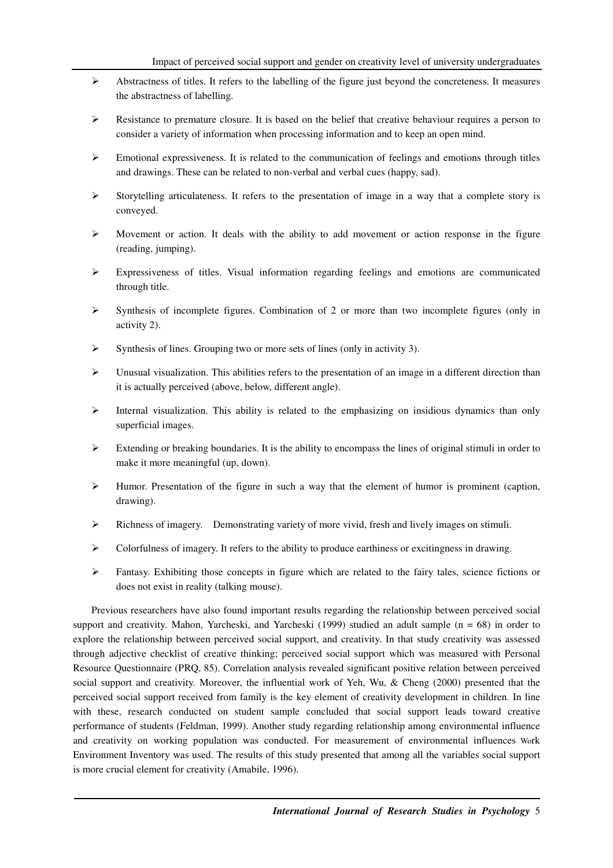- $\triangleright$  Abstractness of titles. It refers to the labelling of the figure just beyond the concreteness. It measures the abstractness of labelling.
- $\triangleright$  Resistance to premature closure. It is based on the belief that creative behaviour requires a person to consider a variety of information when processing information and to keep an open mind.
- $\triangleright$  Emotional expressiveness. It is related to the communication of feelings and emotions through titles and drawings. These can be related to non-verbal and verbal cues (happy, sad).
- Storytelling articulateness. It refers to the presentation of image in a way that a complete story is conveyed.
- $\triangleright$  Movement or action. It deals with the ability to add movement or action response in the figure (reading, jumping).
- $\triangleright$  Expressiveness of titles. Visual information regarding feelings and emotions are communicated through title.
- $\triangleright$  Synthesis of incomplete figures. Combination of 2 or more than two incomplete figures (only in activity 2).
- $\triangleright$  Synthesis of lines. Grouping two or more sets of lines (only in activity 3).
- Unusual visualization. This abilities refers to the presentation of an image in a different direction than it is actually perceived (above, below, different angle).
- $\triangleright$  Internal visualization. This ability is related to the emphasizing on insidious dynamics than only superficial images.
- Extending or breaking boundaries. It is the ability to encompass the lines of original stimuli in order to make it more meaningful (up, down).
- $\triangleright$  Humor. Presentation of the figure in such a way that the element of humor is prominent (caption, drawing).
- $\triangleright$  Richness of imagery. Demonstrating variety of more vivid, fresh and lively images on stimuli.
- $\triangleright$  Colorfulness of imagery. It refers to the ability to produce earthiness or excitingness in drawing.
- $\triangleright$  Fantasy. Exhibiting those concepts in figure which are related to the fairy tales, science fictions or does not exist in reality (talking mouse).

Previous researchers have also found important results regarding the relationship between perceived social support and creativity. Mahon, Yarcheski, and Yarcheski (1999) studied an adult sample ( $n = 68$ ) in order to explore the relationship between perceived social support, and creativity. In that study creativity was assessed through adjective checklist of creative thinking; perceived social support which was measured with Personal Resource Questionnaire (PRQ, 85). Correlation analysis revealed significant positive relation between perceived social support and creativity. Moreover, the influential work of Yeh, Wu, & Cheng (2000) presented that the perceived social support received from family is the key element of creativity development in children. In line with these, research conducted on student sample concluded that social support leads toward creative performance of students (Feldman, 1999). Another study regarding relationship among environmental influence and creativity on working population was conducted. For measurement of environmental influences Work Environment Inventory was used. The results of this study presented that among all the variables social support is more crucial element for creativity (Amabile, 1996).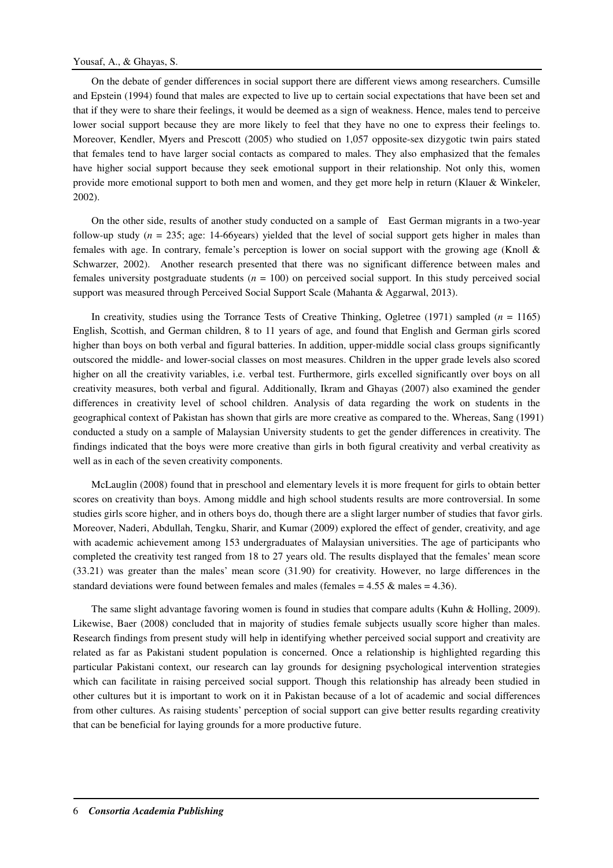## Yousaf, A., & Ghayas, S.

On the debate of gender differences in social support there are different views among researchers. Cumsille and Epstein (1994) found that males are expected to live up to certain social expectations that have been set and that if they were to share their feelings, it would be deemed as a sign of weakness. Hence, males tend to perceive lower social support because they are more likely to feel that they have no one to express their feelings to. Moreover, Kendler, Myers and Prescott (2005) who studied on 1,057 opposite-sex dizygotic twin pairs stated that females tend to have larger social contacts as compared to males. They also emphasized that the females have higher social support because they seek emotional support in their relationship. Not only this, women provide more emotional support to both men and women, and they get more help in return (Klauer & Winkeler, 2002).

On the other side, results of another study conducted on a sample of East German migrants in a two-year follow-up study ( $n = 235$ ; age: 14-66years) yielded that the level of social support gets higher in males than females with age. In contrary, female's perception is lower on social support with the growing age (Knoll & Schwarzer, 2002). Another research presented that there was no significant difference between males and females university postgraduate students ( $n = 100$ ) on perceived social support. In this study perceived social support was measured through Perceived Social Support Scale (Mahanta & Aggarwal, 2013).

In creativity, studies using the Torrance Tests of Creative Thinking, Ogletree (1971) sampled  $(n = 1165)$ English, Scottish, and German children, 8 to 11 years of age, and found that English and German girls scored higher than boys on both verbal and figural batteries. In addition, upper-middle social class groups significantly outscored the middle- and lower-social classes on most measures. Children in the upper grade levels also scored higher on all the creativity variables, i.e. verbal test. Furthermore, girls excelled significantly over boys on all creativity measures, both verbal and figural. Additionally, Ikram and Ghayas (2007) also examined the gender differences in creativity level of school children. Analysis of data regarding the work on students in the geographical context of Pakistan has shown that girls are more creative as compared to the. Whereas, Sang (1991) conducted a study on a sample of Malaysian University students to get the gender differences in creativity. The findings indicated that the boys were more creative than girls in both figural creativity and verbal creativity as well as in each of the seven creativity components.

McLauglin (2008) found that in preschool and elementary levels it is more frequent for girls to obtain better scores on creativity than boys. Among middle and high school students results are more controversial. In some studies girls score higher, and in others boys do, though there are a slight larger number of studies that favor girls. Moreover, Naderi, Abdullah, Tengku, Sharir, and Kumar (2009) explored the effect of gender, creativity, and age with academic achievement among 153 undergraduates of Malaysian universities. The age of participants who completed the creativity test ranged from 18 to 27 years old. The results displayed that the females' mean score (33.21) was greater than the males' mean score (31.90) for creativity. However, no large differences in the standard deviations were found between females and males (females  $= 4.55 \&$  males  $= 4.36$ ).

The same slight advantage favoring women is found in studies that compare adults (Kuhn & Holling, 2009). Likewise, Baer (2008) concluded that in majority of studies female subjects usually score higher than males. Research findings from present study will help in identifying whether perceived social support and creativity are related as far as Pakistani student population is concerned. Once a relationship is highlighted regarding this particular Pakistani context, our research can lay grounds for designing psychological intervention strategies which can facilitate in raising perceived social support. Though this relationship has already been studied in other cultures but it is important to work on it in Pakistan because of a lot of academic and social differences from other cultures. As raising students' perception of social support can give better results regarding creativity that can be beneficial for laying grounds for a more productive future.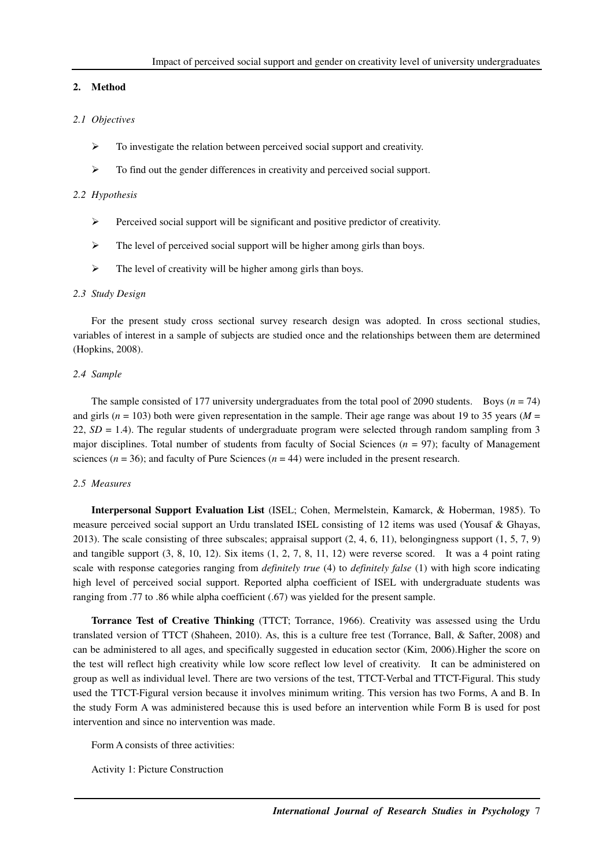## **2. Method**

# *2.1 Objectives*

- $\triangleright$  To investigate the relation between perceived social support and creativity.
- $\triangleright$  To find out the gender differences in creativity and perceived social support.

### *2.2 Hypothesis*

- $\triangleright$  Perceived social support will be significant and positive predictor of creativity.
- $\triangleright$  The level of perceived social support will be higher among girls than boys.
- $\triangleright$  The level of creativity will be higher among girls than boys.

#### *2.3 Study Design*

For the present study cross sectional survey research design was adopted. In cross sectional studies, variables of interest in a sample of subjects are studied once and the relationships between them are determined (Hopkins, 2008).

#### *2.4 Sample*

The sample consisted of 177 university undergraduates from the total pool of 2090 students. Boys ( $n = 74$ ) and girls (*n* = 103) both were given representation in the sample. Their age range was about 19 to 35 years (*M* = 22, *SD* = 1.4). The regular students of undergraduate program were selected through random sampling from 3 major disciplines. Total number of students from faculty of Social Sciences (*n* = 97); faculty of Management sciences ( $n = 36$ ); and faculty of Pure Sciences ( $n = 44$ ) were included in the present research.

#### *2.5 Measures*

**Interpersonal Support Evaluation List** (ISEL; Cohen, Mermelstein, Kamarck, & Hoberman, 1985). To measure perceived social support an Urdu translated ISEL consisting of 12 items was used (Yousaf & Ghayas, 2013). The scale consisting of three subscales; appraisal support (2, 4, 6, 11), belongingness support (1, 5, 7, 9) and tangible support (3, 8, 10, 12). Six items (1, 2, 7, 8, 11, 12) were reverse scored. It was a 4 point rating scale with response categories ranging from *definitely true* (4) to *definitely false* (1) with high score indicating high level of perceived social support. Reported alpha coefficient of ISEL with undergraduate students was ranging from .77 to .86 while alpha coefficient (.67) was yielded for the present sample.

**Torrance Test of Creative Thinking** (TTCT; Torrance, 1966). Creativity was assessed using the Urdu translated version of TTCT (Shaheen, 2010). As, this is a culture free test (Torrance, Ball, & Safter, 2008) and can be administered to all ages, and specifically suggested in education sector (Kim, 2006).Higher the score on the test will reflect high creativity while low score reflect low level of creativity. It can be administered on group as well as individual level. There are two versions of the test, TTCT-Verbal and TTCT-Figural. This study used the TTCT-Figural version because it involves minimum writing. This version has two Forms, A and B. In the study Form A was administered because this is used before an intervention while Form B is used for post intervention and since no intervention was made.

Form A consists of three activities:

Activity 1: Picture Construction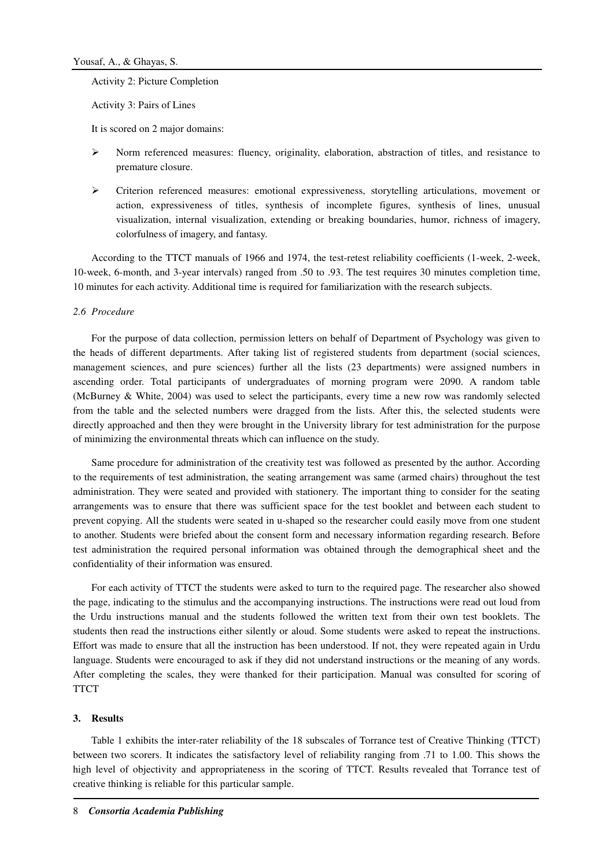Activity 2: Picture Completion

Activity 3: Pairs of Lines

It is scored on 2 major domains:

- Norm referenced measures: fluency, originality, elaboration, abstraction of titles, and resistance to premature closure.
- $\triangleright$  Criterion referenced measures: emotional expressiveness, storytelling articulations, movement or action, expressiveness of titles, synthesis of incomplete figures, synthesis of lines, unusual visualization, internal visualization, extending or breaking boundaries, humor, richness of imagery, colorfulness of imagery, and fantasy.

According to the TTCT manuals of 1966 and 1974, the test-retest reliability coefficients (1-week, 2-week, 10-week, 6-month, and 3-year intervals) ranged from .50 to .93. The test requires 30 minutes completion time, 10 minutes for each activity. Additional time is required for familiarization with the research subjects.

## *2.6 Procedure*

For the purpose of data collection, permission letters on behalf of Department of Psychology was given to the heads of different departments. After taking list of registered students from department (social sciences, management sciences, and pure sciences) further all the lists (23 departments) were assigned numbers in ascending order. Total participants of undergraduates of morning program were 2090. A random table (McBurney & White, 2004) was used to select the participants, every time a new row was randomly selected from the table and the selected numbers were dragged from the lists. After this, the selected students were directly approached and then they were brought in the University library for test administration for the purpose of minimizing the environmental threats which can influence on the study.

Same procedure for administration of the creativity test was followed as presented by the author. According to the requirements of test administration, the seating arrangement was same (armed chairs) throughout the test administration. They were seated and provided with stationery. The important thing to consider for the seating arrangements was to ensure that there was sufficient space for the test booklet and between each student to prevent copying. All the students were seated in u-shaped so the researcher could easily move from one student to another. Students were briefed about the consent form and necessary information regarding research. Before test administration the required personal information was obtained through the demographical sheet and the confidentiality of their information was ensured.

For each activity of TTCT the students were asked to turn to the required page. The researcher also showed the page, indicating to the stimulus and the accompanying instructions. The instructions were read out loud from the Urdu instructions manual and the students followed the written text from their own test booklets. The students then read the instructions either silently or aloud. Some students were asked to repeat the instructions. Effort was made to ensure that all the instruction has been understood. If not, they were repeated again in Urdu language. Students were encouraged to ask if they did not understand instructions or the meaning of any words. After completing the scales, they were thanked for their participation. Manual was consulted for scoring of **TTCT** 

## **3. Results**

Table 1 exhibits the inter-rater reliability of the 18 subscales of Torrance test of Creative Thinking (TTCT) between two scorers. It indicates the satisfactory level of reliability ranging from .71 to 1.00. This shows the high level of objectivity and appropriateness in the scoring of TTCT. Results revealed that Torrance test of creative thinking is reliable for this particular sample.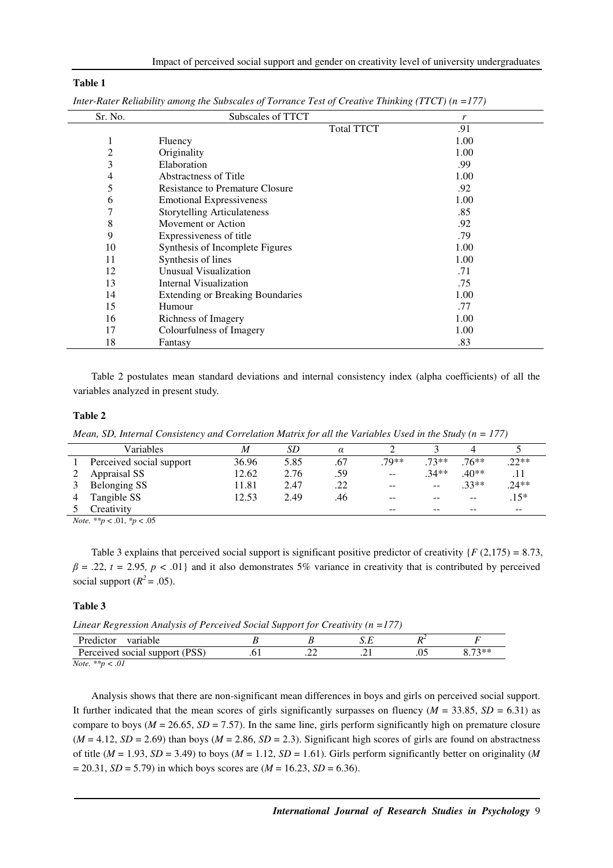### **Table 1**

| Sr. No. | Subscales of TTCT                       | r                 |      |
|---------|-----------------------------------------|-------------------|------|
|         |                                         | <b>Total TTCT</b> | .91  |
| 1       | Fluency                                 |                   | 1.00 |
| 2       | Originality                             |                   | 1.00 |
| 3       | Elaboration                             |                   | .99  |
| 4       | <b>Abstractness of Title</b>            |                   | 1.00 |
| 5       | <b>Resistance to Premature Closure</b>  |                   | .92  |
| 6       | <b>Emotional Expressiveness</b>         |                   | 1.00 |
| 7       | <b>Storytelling Articulateness</b>      |                   | .85  |
| 8       | Movement or Action                      |                   | .92  |
| 9       | Expressiveness of title                 |                   | .79  |
| 10      | Synthesis of Incomplete Figures         |                   | 1.00 |
| 11      | Synthesis of lines                      |                   | 1.00 |
| 12      | Unusual Visualization                   |                   | .71  |
| 13      | Internal Visualization                  |                   | .75  |
| 14      | <b>Extending or Breaking Boundaries</b> |                   | 1.00 |
| 15      | Humour                                  |                   | .77  |
| 16      | Richness of Imagery                     |                   | 1.00 |
| 17      | Colourfulness of Imagery                |                   | 1.00 |
| 18      | Fantasy                                 |                   | .83  |

*Inter-Rater Reliability among the Subscales of Torrance Test of Creative Thinking (TTCT) (n =177)* 

Table 2 postulates mean standard deviations and internal consistency index (alpha coefficients) of all the variables analyzed in present study.

#### **Table 2**

*Mean, SD, Internal Consistency and Correlation Matrix for all the Variables Used in the Study (n = 177)* 

| Variables                | M     | SD   | $\alpha$ |       |                          |         |         |
|--------------------------|-------|------|----------|-------|--------------------------|---------|---------|
| Perceived social support | 36.96 | 5.85 | .67      | .79** | $.73**$                  | $76***$ | $.22**$ |
| Appraisal SS             | 12.62 | 2.76 | .59      | $- -$ | $.34**$                  | $40**$  |         |
| Belonging SS             | 11.81 | 2.47 | .22      | $- -$ | $\overline{\phantom{m}}$ | $.33**$ | $.24**$ |
| Tangible SS              | 12.53 | 2.49 | .46      | $- -$ | $- -$                    | $ -$    | $.15*$  |
| Creativity               |       |      |          | $- -$ | $- -$                    | $- -$   | $- -$   |

*Note. \*\*p* < .01, *\*p* < .05

Table 3 explains that perceived social support is significant positive predictor of creativity {*F* (2,175) *=* 8.73,  $\beta$  = .22, *t* = 2.95, *p* < .01} and it also demonstrates 5% variance in creativity that is contributed by perceived social support  $(R^2 = .05)$ .

#### **Table 3**

*Linear Regression Analysis of Perceived Social Support for Creativity (n =177)* 

| . .                            | __ |   |     |                  |
|--------------------------------|----|---|-----|------------------|
| Predictor<br>variable          |    | . |     |                  |
| Perceived social support (PSS) | .  | . | .v. | $72**$<br>0. / . |
| $\sim$<br><b>BY Hole</b>       |    |   |     |                  |

*Note. \*\*p < .01* 

Analysis shows that there are non-significant mean differences in boys and girls on perceived social support. It further indicated that the mean scores of girls significantly surpasses on fluency ( $M = 33.85$ ,  $SD = 6.31$ ) as compare to boys ( $M = 26.65$ ,  $SD = 7.57$ ). In the same line, girls perform significantly high on premature closure  $(M = 4.12, SD = 2.69)$  than boys  $(M = 2.86, SD = 2.3)$ . Significant high scores of girls are found on abstractness of title ( $M = 1.93$ ,  $SD = 3.49$ ) to boys ( $M = 1.12$ ,  $SD = 1.61$ ). Girls perform significantly better on originality (*M*  $= 20.31, SD = 5.79$  in which boys scores are ( $M = 16.23, SD = 6.36$ ).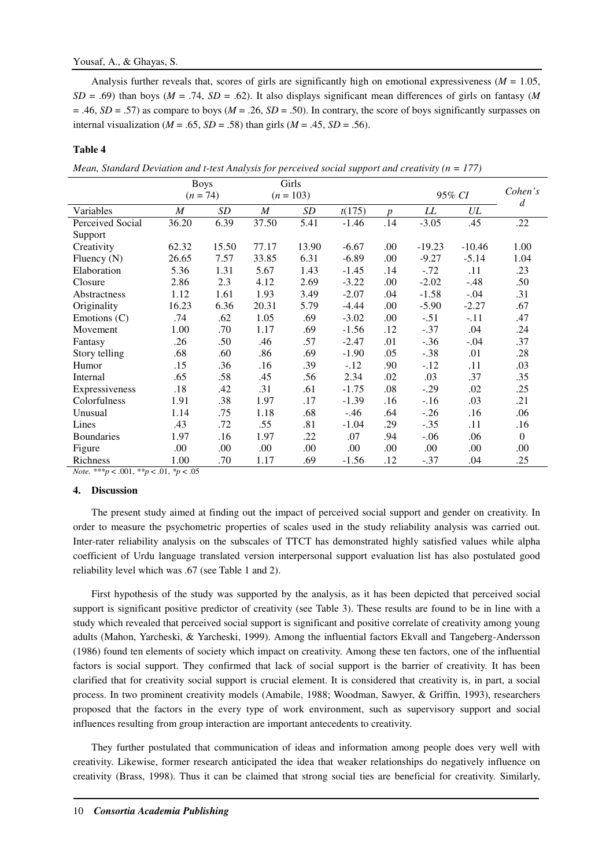Analysis further reveals that, scores of girls are significantly high on emotional expressiveness ( $M = 1.05$ ,  $SD = .69$ ) than boys ( $M = .74$ ,  $SD = .62$ ). It also displays significant mean differences of girls on fantasy ( $M$ = .46, *SD* = .57) as compare to boys (*M* = .26, *SD* = .50). In contrary, the score of boys significantly surpasses on internal visualization ( $M = .65$ ,  $SD = .58$ ) than girls ( $M = .45$ ,  $SD = .56$ ).

#### **Table 4**

*Mean, Standard Deviation and t-test Analysis for perceived social support and creativity (n = 177)* 

|                   | <b>Boys</b>      |            | Girls            |       |         |                  |          |          |              |
|-------------------|------------------|------------|------------------|-------|---------|------------------|----------|----------|--------------|
|                   |                  | $(n = 74)$ | $(n = 103)$      |       |         |                  | 95% CI   |          | Cohen's<br>d |
| Variables         | $\boldsymbol{M}$ | SD         | $\boldsymbol{M}$ | SD    | t(175)  | $\boldsymbol{p}$ | LL       | UL       |              |
| Perceived Social  | 36.20            | 6.39       | 37.50            | 5.41  | $-1.46$ | .14              | $-3.05$  | .45      | .22          |
| Support           |                  |            |                  |       |         |                  |          |          |              |
| Creativity        | 62.32            | 15.50      | 77.17            | 13.90 | $-6.67$ | .00              | $-19.23$ | $-10.46$ | 1.00         |
| Fluency $(N)$     | 26.65            | 7.57       | 33.85            | 6.31  | $-6.89$ | .00              | $-9.27$  | $-5.14$  | 1.04         |
| Elaboration       | 5.36             | 1.31       | 5.67             | 1.43  | $-1.45$ | .14              | $-.72$   | .11      | .23          |
| Closure           | 2.86             | 2.3        | 4.12             | 2.69  | $-3.22$ | .00              | $-2.02$  | $-.48$   | .50          |
| Abstractness      | 1.12             | 1.61       | 1.93             | 3.49  | $-2.07$ | .04              | $-1.58$  | $-.04$   | .31          |
| Originality       | 16.23            | 6.36       | 20.31            | 5.79  | $-4.44$ | .00              | $-5.90$  | $-2.27$  | .67          |
| Emotions $(C)$    | .74              | .62        | 1.05             | .69   | $-3.02$ | .00              | $-.51$   | $-.11$   | .47          |
| Movement          | 1.00             | .70        | 1.17             | .69   | $-1.56$ | .12              | $-.37$   | .04      | .24          |
| Fantasy           | .26              | .50        | .46              | .57   | $-2.47$ | .01              | $-.36$   | $-.04$   | .37          |
| Story telling     | .68              | .60        | .86              | .69   | $-1.90$ | .05              | $-.38$   | .01      | .28          |
| Humor             | .15              | .36        | .16              | .39   | $-.12$  | .90              | $-.12$   | .11      | .03          |
| Internal          | .65              | .58        | .45              | .56   | 2.34    | .02              | .03      | .37      | .35          |
| Expressiveness    | .18              | .42        | .31              | .61   | $-1.75$ | .08              | $-.29$   | .02      | .25          |
| Colorfulness      | 1.91             | .38        | 1.97             | .17   | $-1.39$ | .16              | $-.16$   | .03      | .21          |
| Unusual           | 1.14             | .75        | 1.18             | .68   | $-.46$  | .64              | $-.26$   | .16      | .06          |
| Lines             | .43              | .72        | .55              | .81   | $-1.04$ | .29              | $-.35$   | .11      | .16          |
| <b>Boundaries</b> | 1.97             | .16        | 1.97             | .22   | .07     | .94              | $-.06$   | .06      | $\theta$     |
| Figure            | .00.             | .00.       | .00              | .00   | .00     | .00              | .00.     | .00      | .00.         |
| Richness          | 1.00             | .70        | 1.17             | .69   | $-1.56$ | .12              | $-.37$   | .04      | .25          |

*Note. \*\*\*p* < .001, *\*\*p* < .01, *\*p* < .05

#### **4. Discussion**

The present study aimed at finding out the impact of perceived social support and gender on creativity. In order to measure the psychometric properties of scales used in the study reliability analysis was carried out. Inter-rater reliability analysis on the subscales of TTCT has demonstrated highly satisfied values while alpha coefficient of Urdu language translated version interpersonal support evaluation list has also postulated good reliability level which was .67 (see Table 1 and 2).

First hypothesis of the study was supported by the analysis, as it has been depicted that perceived social support is significant positive predictor of creativity (see Table 3). These results are found to be in line with a study which revealed that perceived social support is significant and positive correlate of creativity among young adults (Mahon, Yarcheski, & Yarcheski, 1999). Among the influential factors Ekvall and Tangeberg-Andersson (1986) found ten elements of society which impact on creativity. Among these ten factors, one of the influential factors is social support. They confirmed that lack of social support is the barrier of creativity. It has been clarified that for creativity social support is crucial element. It is considered that creativity is, in part, a social process. In two prominent creativity models (Amabile, 1988; Woodman, Sawyer, & Griffin, 1993), researchers proposed that the factors in the every type of work environment, such as supervisory support and social influences resulting from group interaction are important antecedents to creativity.

They further postulated that communication of ideas and information among people does very well with creativity. Likewise, former research anticipated the idea that weaker relationships do negatively influence on creativity (Brass, 1998). Thus it can be claimed that strong social ties are beneficial for creativity. Similarly,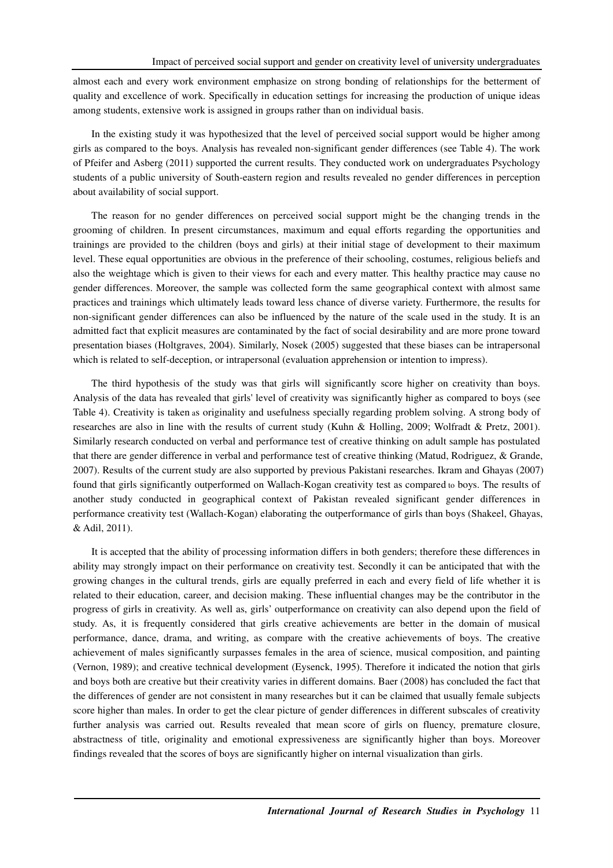almost each and every work environment emphasize on strong bonding of relationships for the betterment of quality and excellence of work. Specifically in education settings for increasing the production of unique ideas among students, extensive work is assigned in groups rather than on individual basis.

In the existing study it was hypothesized that the level of perceived social support would be higher among girls as compared to the boys. Analysis has revealed non-significant gender differences (see Table 4). The work of Pfeifer and Asberg (2011) supported the current results. They conducted work on undergraduates Psychology students of a public university of South-eastern region and results revealed no gender differences in perception about availability of social support.

The reason for no gender differences on perceived social support might be the changing trends in the grooming of children. In present circumstances, maximum and equal efforts regarding the opportunities and trainings are provided to the children (boys and girls) at their initial stage of development to their maximum level. These equal opportunities are obvious in the preference of their schooling, costumes, religious beliefs and also the weightage which is given to their views for each and every matter. This healthy practice may cause no gender differences. Moreover, the sample was collected form the same geographical context with almost same practices and trainings which ultimately leads toward less chance of diverse variety. Furthermore, the results for non-significant gender differences can also be influenced by the nature of the scale used in the study. It is an admitted fact that explicit measures are contaminated by the fact of social desirability and are more prone toward presentation biases (Holtgraves, 2004). Similarly, Nosek (2005) suggested that these biases can be intrapersonal which is related to self-deception, or intrapersonal (evaluation apprehension or intention to impress).

The third hypothesis of the study was that girls will significantly score higher on creativity than boys. Analysis of the data has revealed that girls' level of creativity was significantly higher as compared to boys (see Table 4). Creativity is taken as originality and usefulness specially regarding problem solving. A strong body of researches are also in line with the results of current study (Kuhn & Holling, 2009; Wolfradt & Pretz, 2001). Similarly research conducted on verbal and performance test of creative thinking on adult sample has postulated that there are gender difference in verbal and performance test of creative thinking (Matud, Rodriguez, & Grande, 2007). Results of the current study are also supported by previous Pakistani researches. Ikram and Ghayas (2007) found that girls significantly outperformed on Wallach-Kogan creativity test as compared to boys. The results of another study conducted in geographical context of Pakistan revealed significant gender differences in performance creativity test (Wallach-Kogan) elaborating the outperformance of girls than boys (Shakeel, Ghayas, & Adil, 2011).

It is accepted that the ability of processing information differs in both genders; therefore these differences in ability may strongly impact on their performance on creativity test. Secondly it can be anticipated that with the growing changes in the cultural trends, girls are equally preferred in each and every field of life whether it is related to their education, career, and decision making. These influential changes may be the contributor in the progress of girls in creativity. As well as, girls' outperformance on creativity can also depend upon the field of study. As, it is frequently considered that girls creative achievements are better in the domain of musical performance, dance, drama, and writing, as compare with the creative achievements of boys. The creative achievement of males significantly surpasses females in the area of science, musical composition, and painting (Vernon, 1989); and creative technical development (Eysenck, 1995). Therefore it indicated the notion that girls and boys both are creative but their creativity varies in different domains. Baer (2008) has concluded the fact that the differences of gender are not consistent in many researches but it can be claimed that usually female subjects score higher than males. In order to get the clear picture of gender differences in different subscales of creativity further analysis was carried out. Results revealed that mean score of girls on fluency, premature closure, abstractness of title, originality and emotional expressiveness are significantly higher than boys. Moreover findings revealed that the scores of boys are significantly higher on internal visualization than girls.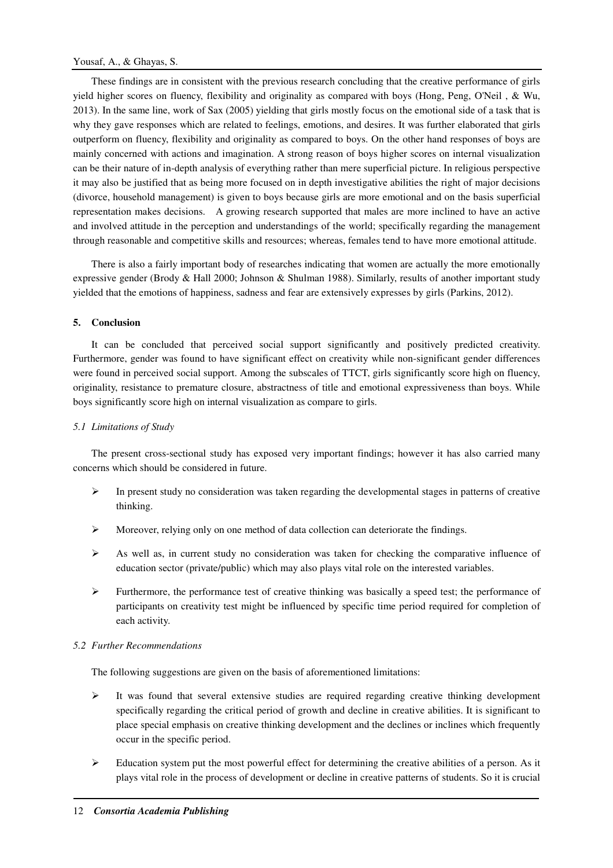These findings are in consistent with the previous research concluding that the creative performance of girls yield higher scores on fluency, flexibility and originality as compared with boys (Hong, Peng, O'Neil , & Wu, 2013). In the same line, work of Sax (2005) yielding that girls mostly focus on the emotional side of a task that is why they gave responses which are related to feelings, emotions, and desires. It was further elaborated that girls outperform on fluency, flexibility and originality as compared to boys. On the other hand responses of boys are mainly concerned with actions and imagination. A strong reason of boys higher scores on internal visualization can be their nature of in-depth analysis of everything rather than mere superficial picture. In religious perspective it may also be justified that as being more focused on in depth investigative abilities the right of major decisions (divorce, household management) is given to boys because girls are more emotional and on the basis superficial representation makes decisions. A growing research supported that males are more inclined to have an active and involved attitude in the perception and understandings of the world; specifically regarding the management through reasonable and competitive skills and resources; whereas, females tend to have more emotional attitude.

There is also a fairly important body of researches indicating that women are actually the more emotionally expressive gender (Brody & Hall 2000; Johnson & Shulman 1988). Similarly, results of another important study yielded that the emotions of happiness, sadness and fear are extensively expresses by girls (Parkins, 2012).

# **5. Conclusion**

It can be concluded that perceived social support significantly and positively predicted creativity. Furthermore, gender was found to have significant effect on creativity while non-significant gender differences were found in perceived social support. Among the subscales of TTCT, girls significantly score high on fluency, originality, resistance to premature closure, abstractness of title and emotional expressiveness than boys. While boys significantly score high on internal visualization as compare to girls.

## *5.1 Limitations of Study*

The present cross-sectional study has exposed very important findings; however it has also carried many concerns which should be considered in future.

- $\triangleright$  In present study no consideration was taken regarding the developmental stages in patterns of creative thinking.
- Moreover, relying only on one method of data collection can deteriorate the findings.
- $\triangleright$  As well as, in current study no consideration was taken for checking the comparative influence of education sector (private/public) which may also plays vital role on the interested variables.
- Furthermore, the performance test of creative thinking was basically a speed test; the performance of participants on creativity test might be influenced by specific time period required for completion of each activity.

## *5.2 Further Recommendations*

The following suggestions are given on the basis of aforementioned limitations:

- $\triangleright$  It was found that several extensive studies are required regarding creative thinking development specifically regarding the critical period of growth and decline in creative abilities. It is significant to place special emphasis on creative thinking development and the declines or inclines which frequently occur in the specific period.
- $\triangleright$  Education system put the most powerful effect for determining the creative abilities of a person. As it plays vital role in the process of development or decline in creative patterns of students. So it is crucial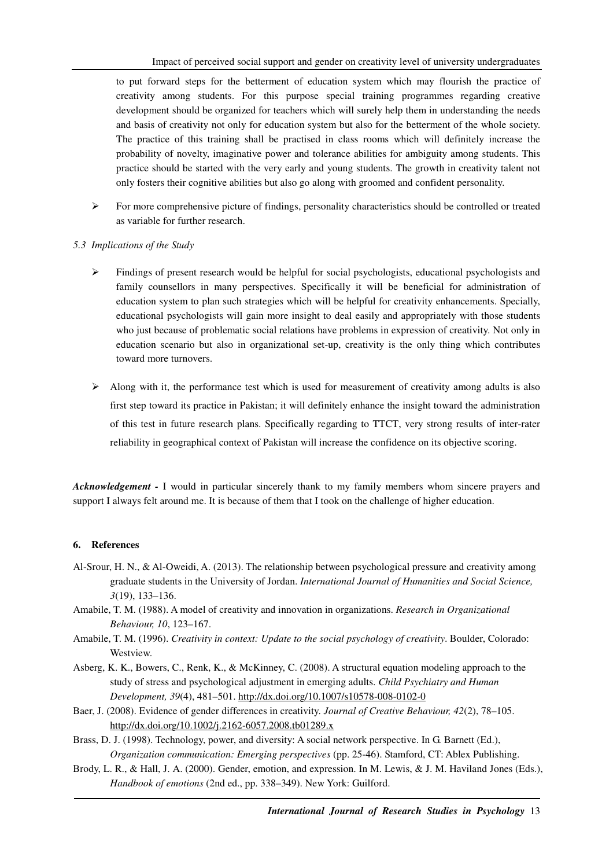to put forward steps for the betterment of education system which may flourish the practice of creativity among students. For this purpose special training programmes regarding creative development should be organized for teachers which will surely help them in understanding the needs and basis of creativity not only for education system but also for the betterment of the whole society. The practice of this training shall be practised in class rooms which will definitely increase the probability of novelty, imaginative power and tolerance abilities for ambiguity among students. This practice should be started with the very early and young students. The growth in creativity talent not only fosters their cognitive abilities but also go along with groomed and confident personality.

- $\triangleright$  For more comprehensive picture of findings, personality characteristics should be controlled or treated as variable for further research.
- *5.3 Implications of the Study* 
	- $\triangleright$  Findings of present research would be helpful for social psychologists, educational psychologists and family counsellors in many perspectives. Specifically it will be beneficial for administration of education system to plan such strategies which will be helpful for creativity enhancements. Specially, educational psychologists will gain more insight to deal easily and appropriately with those students who just because of problematic social relations have problems in expression of creativity. Not only in education scenario but also in organizational set-up, creativity is the only thing which contributes toward more turnovers.
	- $\triangleright$  Along with it, the performance test which is used for measurement of creativity among adults is also first step toward its practice in Pakistan; it will definitely enhance the insight toward the administration of this test in future research plans. Specifically regarding to TTCT, very strong results of inter-rater reliability in geographical context of Pakistan will increase the confidence on its objective scoring.

*Acknowledgement -* I would in particular sincerely thank to my family members whom sincere prayers and support I always felt around me. It is because of them that I took on the challenge of higher education.

## **6. References**

- Al-Srour, H. N., & Al-Oweidi, A. (2013). The relationship between psychological pressure and creativity among graduate students in the University of Jordan. *International Journal of Humanities and Social Science, 3*(19), 133–136.
- Amabile, T. M. (1988). A model of creativity and innovation in organizations. *Research in Organizational Behaviour, 10*, 123–167.
- Amabile, T. M. (1996). *Creativity in context: Update to the social psychology of creativity*. Boulder, Colorado: Westview.
- Asberg, K. K., Bowers, C., Renk, K., & McKinney, C. (2008). A structural equation modeling approach to the study of stress and psychological adjustment in emerging adults. *Child Psychiatry and Human Development, 39*(4), 481–501. http://dx.doi.org/10.1007/s10578-008-0102-0
- Baer, J. (2008). Evidence of gender differences in creativity. *Journal of Creative Behaviour, 42*(2), 78–105. http://dx.doi.org/10.1002/j.2162-6057.2008.tb01289.x
- Brass, D. J. (1998). Technology, power, and diversity: A social network perspective. In G. Barnett (Ed.), *Organization communication: Emerging perspectives* (pp. 25-46). Stamford, CT: Ablex Publishing.
- Brody, L. R., & Hall, J. A. (2000). Gender, emotion, and expression. In M. Lewis, & J. M. Haviland Jones (Eds.), *Handbook of emotions* (2nd ed., pp. 338–349). New York: Guilford.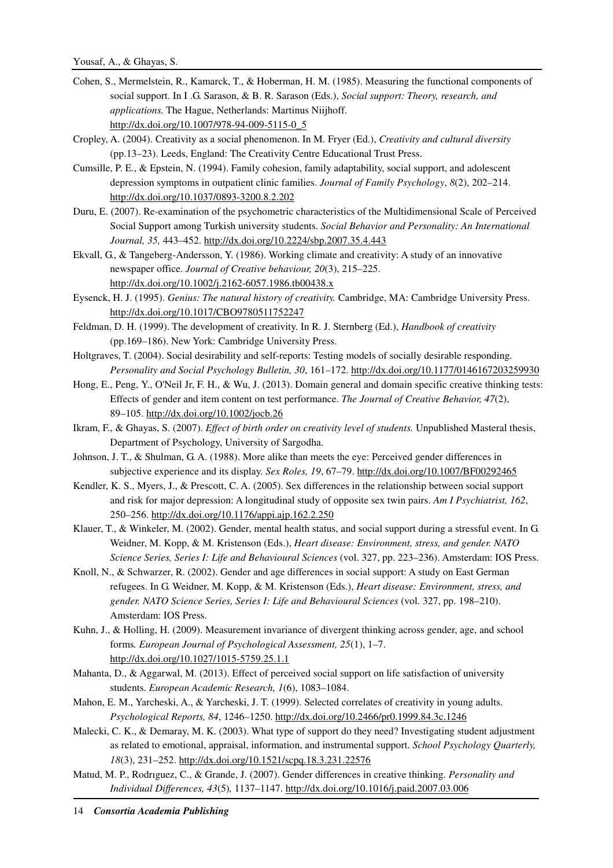- Cohen, S., Mermelstein, R., Kamarck, T., & Hoberman, H. M. (1985). Measuring the functional components of social support. In I .G. Sarason, & B. R. Sarason (Eds.), *Social support: Theory, research, and applications.* The Hague, Netherlands: Martinus Niijhoff. http://dx.doi.org/10.1007/978-94-009-5115-0\_5
- Cropley, A. (2004). Creativity as a social phenomenon. In M. Fryer (Ed.), *Creativity and cultural diversity*  (pp.13–23). Leeds, England: The Creativity Centre Educational Trust Press.
- Cumsille, P. E., & Epstein, N. (1994). Family cohesion, family adaptability, social support, and adolescent depression symptoms in outpatient clinic families. *Journal of Family Psychology*, *8*(2), 202–214. http://dx.doi.org/10.1037/0893-3200.8.2.202
- Duru, E. (2007). Re-examination of the psychometric characteristics of the Multidimensional Scale of Perceived Social Support among Turkish university students. *Social Behavior and Personality: An International Journal, 35,* 443–452. http://dx.doi.org/10.2224/sbp.2007.35.4.443
- Ekvall, G., & Tangeberg-Andersson, Y. (1986). Working climate and creativity: A study of an innovative newspaper office. *Journal of Creative behaviour, 20*(3), 215–225. http://dx.doi.org/10.1002/j.2162-6057.1986.tb00438.x
- Eysenck, H. J. (1995). *Genius: The natural history of creativity.* Cambridge, MA: Cambridge University Press. http://dx.doi.org/10.1017/CBO9780511752247
- Feldman, D. H. (1999). The development of creativity. In R. J. Sternberg (Ed.), *Handbook of creativity*  (pp.169–186). New York: Cambridge University Press.
- Holtgraves, T. (2004). Social desirability and self-reports: Testing models of socially desirable responding. *Personality and Social Psychology Bulletin, 30*, 161–172. http://dx.doi.org/10.1177/0146167203259930
- Hong, E., Peng, Y., O'Neil Jr, F. H., & Wu, J. (2013). Domain general and domain specific creative thinking tests: Effects of gender and item content on test performance. *The Journal of Creative Behavior, 47*(2), 89–105. http://dx.doi.org/10.1002/jocb.26
- Ikram, F., & Ghayas, S. (2007). *Effect of birth order on creativity level of students.* Unpublished Masteral thesis, Department of Psychology, University of Sargodha.
- Johnson, J. T., & Shulman, G. A. (1988). More alike than meets the eye: Perceived gender differences in subjective experience and its display. *Sex Roles, 19*, 67–79. http://dx.doi.org/10.1007/BF00292465
- Kendler, K. S., Myers, J., & Prescott, C. A. (2005). Sex differences in the relationship between social support and risk for major depression: A longitudinal study of opposite sex twin pairs. *Am I Psychiatrist, 162*, 250–256. http://dx.doi.org/10.1176/appi.ajp.162.2.250
- Klauer, T., & Winkeler, M. (2002). Gender, mental health status, and social support during a stressful event. In G. Weidner, M. Kopp, & M. Kristenson (Eds.), *Heart disease: Environment, stress, and gender. NATO Science Series, Series I: Life and Behavioural Sciences* (vol. 327, pp. 223–236). Amsterdam: IOS Press.
- Knoll, N., & Schwarzer, R. (2002). Gender and age differences in social support: A study on East German refugees. In G. Weidner, M. Kopp, & M. Kristenson (Eds.), *Heart disease: Environment, stress, and gender. NATO Science Series, Series I: Life and Behavioural Sciences* (vol. 327, pp. 198–210). Amsterdam: IOS Press.
- Kuhn, J., & Holling, H. (2009). Measurement invariance of divergent thinking across gender, age, and school forms*. European Journal of Psychological Assessment, 25*(1), 1–7. http://dx.doi.org/10.1027/1015-5759.25.1.1
- Mahanta, D., & Aggarwal, M. (2013). Effect of perceived social support on life satisfaction of university students. *European Academic Research, 1*(6), 1083–1084.
- Mahon, E. M., Yarcheski, A., & Yarcheski, J. T. (1999). Selected correlates of creativity in young adults. *Psychological Reports, 84*, 1246–1250. http://dx.doi.org/10.2466/pr0.1999.84.3c.1246
- Malecki, C. K., & Demaray, M. K. (2003). What type of support do they need? Investigating student adjustment as related to emotional, appraisal, information, and instrumental support. *School Psychology Quarterly, 18*(3), 231–252. http://dx.doi.org/10.1521/scpq.18.3.231.22576
- Matud, M. P., Rodrıguez, C., & Grande, J. (2007). Gender differences in creative thinking. *Personality and Individual Differences, 43*(5)*,* 1137–1147. http://dx.doi.org/10.1016/j.paid.2007.03.006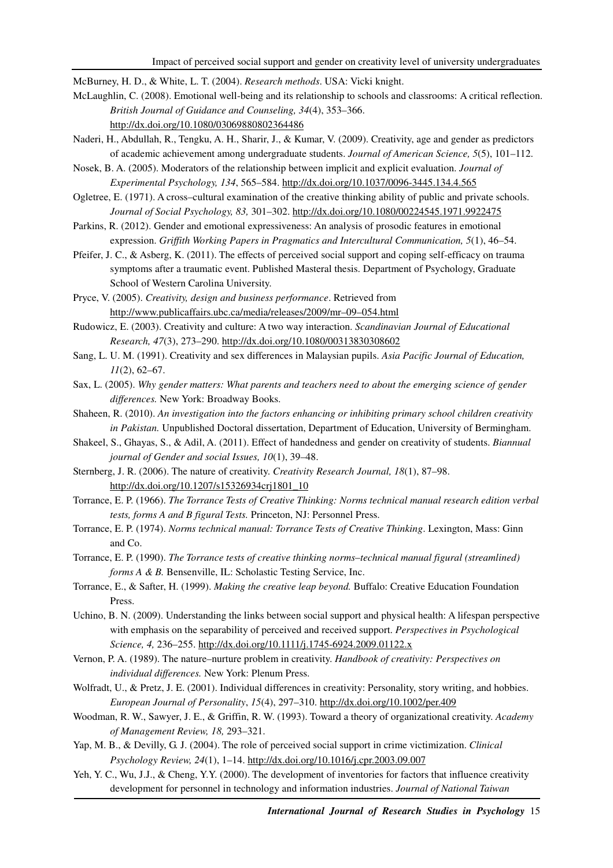McBurney, H. D., & White, L. T. (2004). *Research methods*. USA: Vicki knight.

- McLaughlin, C. (2008). Emotional well-being and its relationship to schools and classrooms: A critical reflection. *British Journal of Guidance and Counseling, 34*(4), 353–366. http://dx.doi.org/10.1080/03069880802364486
- Naderi, H., Abdullah, R., Tengku, A. H., Sharir, J., & Kumar, V. (2009). Creativity, age and gender as predictors of academic achievement among undergraduate students. *Journal of American Science, 5*(5), 101–112.
- Nosek, B. A. (2005). Moderators of the relationship between implicit and explicit evaluation. *Journal of Experimental Psychology, 134*, 565–584. http://dx.doi.org/10.1037/0096-3445.134.4.565
- Ogletree, E. (1971). A cross–cultural examination of the creative thinking ability of public and private schools. *Journal of Social Psychology, 83,* 301–302. http://dx.doi.org/10.1080/00224545.1971.9922475
- Parkins, R. (2012). Gender and emotional expressiveness: An analysis of prosodic features in emotional expression. *Griffith Working Papers in Pragmatics and Intercultural Communication, 5*(1), 46–54.
- Pfeifer, J. C., & Asberg, K. (2011). The effects of perceived social support and coping self-efficacy on trauma symptoms after a traumatic event. Published Masteral thesis. Department of Psychology, Graduate School of Western Carolina University.
- Pryce, V. (2005). *Creativity, design and business performance*. Retrieved from http://www.publicaffairs.ubc.ca/media/releases/2009/mr–09–054.html
- Rudowicz, E. (2003). Creativity and culture: A two way interaction. *Scandinavian Journal of Educational Research, 47*(3), 273–290. http://dx.doi.org/10.1080/00313830308602
- Sang, L. U. M. (1991). Creativity and sex differences in Malaysian pupils. *Asia Pacific Journal of Education, 11*(2), 62–67.
- Sax, L. (2005). *Why gender matters: What parents and teachers need to about the emerging science of gender differences.* New York: Broadway Books.
- Shaheen, R. (2010). *An investigation into the factors enhancing or inhibiting primary school children creativity in Pakistan.* Unpublished Doctoral dissertation, Department of Education, University of Bermingham.
- Shakeel, S., Ghayas, S., & Adil, A. (2011). Effect of handedness and gender on creativity of students. *Biannual journal of Gender and social Issues, 10*(1), 39–48.
- Sternberg, J. R. (2006). The nature of creativity. *Creativity Research Journal, 18*(1), 87–98. http://dx.doi.org/10.1207/s15326934crj1801\_10
- Torrance, E. P. (1966). *The Torrance Tests of Creative Thinking: Norms technical manual research edition verbal tests, forms A and B figural Tests.* Princeton, NJ: Personnel Press.
- Torrance, E. P. (1974). *Norms technical manual: Torrance Tests of Creative Thinking*. Lexington, Mass: Ginn and Co.
- Torrance, E. P. (1990). *The Torrance tests of creative thinking norms*–*technical manual figural (streamlined) forms A & B.* Bensenville, IL: Scholastic Testing Service, Inc.
- Torrance, E., & Safter, H. (1999). *Making the creative leap beyond.* Buffalo: Creative Education Foundation Press.
- Uchino, B. N. (2009). Understanding the links between social support and physical health: A lifespan perspective with emphasis on the separability of perceived and received support. *Perspectives in Psychological Science, 4,* 236–255. http://dx.doi.org/10.1111/j.1745-6924.2009.01122.x
- Vernon, P. A. (1989). The nature–nurture problem in creativity. *Handbook of creativity: Perspectives on individual differences.* New York: Plenum Press.
- Wolfradt, U., & Pretz, J. E. (2001). Individual differences in creativity: Personality, story writing, and hobbies. *European Journal of Personality*, *15*(4), 297–310. http://dx.doi.org/10.1002/per.409
- Woodman, R. W., Sawyer, J. E., & Griffin, R. W. (1993). Toward a theory of organizational creativity. *Academy of Management Review, 18,* 293–321.
- Yap, M. B., & Devilly, G. J. (2004). The role of perceived social support in crime victimization. *Clinical Psychology Review, 24*(1), 1–14. http://dx.doi.org/10.1016/j.cpr.2003.09.007
- Yeh, Y. C., Wu, J.J., & Cheng, Y.Y. (2000). The development of inventories for factors that influence creativity development for personnel in technology and information industries. *Journal of National Taiwan*